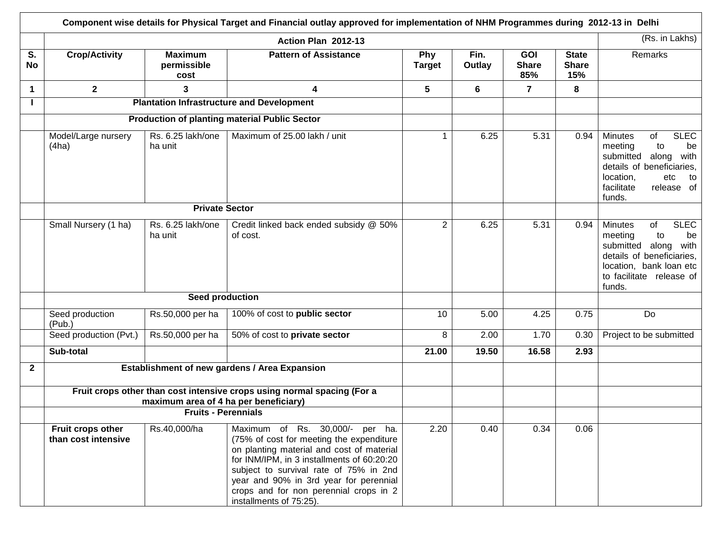|                 |                                          |                                       | Component wise details for Physical Target and Financial outlay approved for implementation of NHM Programmes during 2012-13 in Delhi                                                                                                                                                                                           |                      |                |                                   |                                     |                                                                                                                                                                                     |
|-----------------|------------------------------------------|---------------------------------------|---------------------------------------------------------------------------------------------------------------------------------------------------------------------------------------------------------------------------------------------------------------------------------------------------------------------------------|----------------------|----------------|-----------------------------------|-------------------------------------|-------------------------------------------------------------------------------------------------------------------------------------------------------------------------------------|
|                 |                                          |                                       | Action Plan 2012-13                                                                                                                                                                                                                                                                                                             |                      |                |                                   |                                     | (Rs. in Lakhs)                                                                                                                                                                      |
| S.<br><b>No</b> | <b>Crop/Activity</b>                     | <b>Maximum</b><br>permissible<br>cost | <b>Pattern of Assistance</b>                                                                                                                                                                                                                                                                                                    | Phy<br><b>Target</b> | Fin.<br>Outlay | <b>GOI</b><br><b>Share</b><br>85% | <b>State</b><br><b>Share</b><br>15% | Remarks                                                                                                                                                                             |
| $\mathbf 1$     | $\overline{2}$                           | 3                                     | 4                                                                                                                                                                                                                                                                                                                               | 5                    | 6              | $\overline{7}$                    | 8                                   |                                                                                                                                                                                     |
|                 |                                          |                                       | <b>Plantation Infrastructure and Development</b>                                                                                                                                                                                                                                                                                |                      |                |                                   |                                     |                                                                                                                                                                                     |
|                 |                                          |                                       | <b>Production of planting material Public Sector</b>                                                                                                                                                                                                                                                                            |                      |                |                                   |                                     |                                                                                                                                                                                     |
|                 | Model/Large nursery<br>(4ha)             | Rs. 6.25 lakh/one<br>ha unit          | Maximum of 25.00 lakh / unit                                                                                                                                                                                                                                                                                                    | 1                    | 6.25           | 5.31                              | 0.94                                | <b>SLEC</b><br><b>Minutes</b><br>of<br>meeting<br>to<br>be<br>along with<br>submitted<br>details of beneficiaries,<br>location,<br>etc<br>to<br>facilitate<br>release of<br>funds.  |
|                 |                                          | <b>Private Sector</b>                 |                                                                                                                                                                                                                                                                                                                                 |                      |                |                                   |                                     |                                                                                                                                                                                     |
|                 | Small Nursery (1 ha)                     | Rs. 6.25 lakh/one<br>ha unit          | Credit linked back ended subsidy @ 50%<br>of cost.                                                                                                                                                                                                                                                                              | $\overline{2}$       | 6.25           | 5.31                              | 0.94                                | <b>SLEC</b><br><b>Minutes</b><br>of<br>meeting<br>to<br>be<br>submitted<br>along with<br>details of beneficiaries,<br>location, bank loan etc<br>to facilitate release of<br>funds. |
|                 | Seed production                          |                                       |                                                                                                                                                                                                                                                                                                                                 |                      |                |                                   |                                     |                                                                                                                                                                                     |
|                 | Seed production<br>(Pub.)                | Rs.50,000 per ha                      | 100% of cost to public sector                                                                                                                                                                                                                                                                                                   | 10                   | 5.00           | 4.25                              | 0.75                                | Do                                                                                                                                                                                  |
|                 | Seed production (Pvt.)                   | Rs.50,000 per ha                      | 50% of cost to private sector                                                                                                                                                                                                                                                                                                   | 8                    | 2.00           | 1.70                              | 0.30                                | Project to be submitted                                                                                                                                                             |
|                 | Sub-total                                |                                       |                                                                                                                                                                                                                                                                                                                                 | 21.00                | 19.50          | 16.58                             | 2.93                                |                                                                                                                                                                                     |
| $\mathbf{2}$    |                                          |                                       | Establishment of new gardens / Area Expansion                                                                                                                                                                                                                                                                                   |                      |                |                                   |                                     |                                                                                                                                                                                     |
|                 |                                          | maximum area of 4 ha per beneficiary) | Fruit crops other than cost intensive crops using normal spacing (For a                                                                                                                                                                                                                                                         |                      |                |                                   |                                     |                                                                                                                                                                                     |
|                 | <b>Fruits - Perennials</b>               |                                       |                                                                                                                                                                                                                                                                                                                                 |                      |                |                                   |                                     |                                                                                                                                                                                     |
|                 | Fruit crops other<br>than cost intensive | Rs.40,000/ha                          | Maximum of Rs. 30,000/- per ha.<br>(75% of cost for meeting the expenditure<br>on planting material and cost of material<br>for INM/IPM, in 3 installments of 60:20:20<br>subject to survival rate of 75% in 2nd<br>year and 90% in 3rd year for perennial<br>crops and for non perennial crops in 2<br>installments of 75:25). | 2.20                 | 0.40           | 0.34                              | 0.06                                |                                                                                                                                                                                     |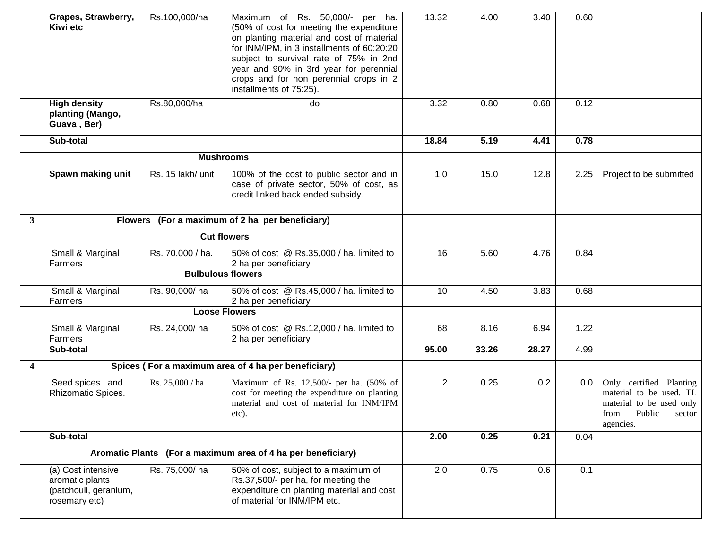|                         | Grapes, Strawberry,<br>Kiwi etc                                                 | Rs.100,000/ha     | Maximum of Rs. 50,000/- per ha.<br>(50% of cost for meeting the expenditure<br>on planting material and cost of material<br>for INM/IPM, in 3 installments of 60:20:20<br>subject to survival rate of 75% in 2nd<br>year and 90% in 3rd year for perennial<br>crops and for non perennial crops in 2<br>installments of 75:25). | 13.32          | 4.00  | 3.40  | 0.60 |                                                                                                                   |
|-------------------------|---------------------------------------------------------------------------------|-------------------|---------------------------------------------------------------------------------------------------------------------------------------------------------------------------------------------------------------------------------------------------------------------------------------------------------------------------------|----------------|-------|-------|------|-------------------------------------------------------------------------------------------------------------------|
|                         | <b>High density</b><br>planting (Mango,<br>Guava, Ber)                          | Rs.80,000/ha      | do                                                                                                                                                                                                                                                                                                                              | 3.32           | 0.80  | 0.68  | 0.12 |                                                                                                                   |
|                         | Sub-total                                                                       |                   |                                                                                                                                                                                                                                                                                                                                 | 18.84          | 5.19  | 4.41  | 0.78 |                                                                                                                   |
|                         |                                                                                 |                   | <b>Mushrooms</b>                                                                                                                                                                                                                                                                                                                |                |       |       |      |                                                                                                                   |
|                         | Spawn making unit                                                               | Rs. 15 lakh/ unit | 100% of the cost to public sector and in<br>case of private sector, 50% of cost, as<br>credit linked back ended subsidy.                                                                                                                                                                                                        | 1.0            | 15.0  | 12.8  | 2.25 | Project to be submitted                                                                                           |
| 3                       |                                                                                 |                   | Flowers (For a maximum of 2 ha per beneficiary)                                                                                                                                                                                                                                                                                 |                |       |       |      |                                                                                                                   |
|                         |                                                                                 |                   | <b>Cut flowers</b>                                                                                                                                                                                                                                                                                                              |                |       |       |      |                                                                                                                   |
|                         | Small & Marginal<br>Farmers                                                     | Rs. 70,000 / ha.  | 50% of cost @ Rs.35,000 / ha. limited to<br>2 ha per beneficiary                                                                                                                                                                                                                                                                | 16             | 5.60  | 4.76  | 0.84 |                                                                                                                   |
|                         |                                                                                 |                   | <b>Bulbulous flowers</b>                                                                                                                                                                                                                                                                                                        |                |       |       |      |                                                                                                                   |
|                         | Small & Marginal<br><b>Farmers</b>                                              | Rs. 90,000/ha     | 50% of cost @ Rs.45,000 / ha. limited to<br>2 ha per beneficiary                                                                                                                                                                                                                                                                | 10             | 4.50  | 3.83  | 0.68 |                                                                                                                   |
|                         |                                                                                 |                   | <b>Loose Flowers</b>                                                                                                                                                                                                                                                                                                            |                |       |       |      |                                                                                                                   |
|                         | Small & Marginal<br>Farmers                                                     | Rs. 24,000/ha     | 50% of cost @ Rs.12,000 / ha. limited to<br>2 ha per beneficiary                                                                                                                                                                                                                                                                | 68             | 8.16  | 6.94  | 1.22 |                                                                                                                   |
|                         | Sub-total                                                                       |                   |                                                                                                                                                                                                                                                                                                                                 | 95.00          | 33.26 | 28.27 | 4.99 |                                                                                                                   |
| $\overline{\mathbf{4}}$ |                                                                                 |                   | Spices (For a maximum area of 4 ha per beneficiary)                                                                                                                                                                                                                                                                             |                |       |       |      |                                                                                                                   |
|                         | Seed spices and<br>Rhizomatic Spices.                                           | Rs. 25,000 / ha   | Maximum of Rs. 12,500/- per ha. (50% of<br>cost for meeting the expenditure on planting<br>material and cost of material for INM/IPM<br>etc).                                                                                                                                                                                   | $\overline{2}$ | 0.25  | 0.2   | 0.0  | Only certified Planting<br>material to be used. TL<br>material to be used only<br>from Public sector<br>agencies. |
|                         | Sub-total                                                                       |                   |                                                                                                                                                                                                                                                                                                                                 | 2.00           | 0.25  | 0.21  | 0.04 |                                                                                                                   |
|                         |                                                                                 |                   | Aromatic Plants (For a maximum area of 4 ha per beneficiary)                                                                                                                                                                                                                                                                    |                |       |       |      |                                                                                                                   |
|                         | (a) Cost intensive<br>aromatic plants<br>(patchouli, geranium,<br>rosemary etc) | Rs. 75,000/ha     | 50% of cost, subject to a maximum of<br>Rs.37,500/- per ha, for meeting the<br>expenditure on planting material and cost<br>of material for INM/IPM etc.                                                                                                                                                                        | 2.0            | 0.75  | 0.6   | 0.1  |                                                                                                                   |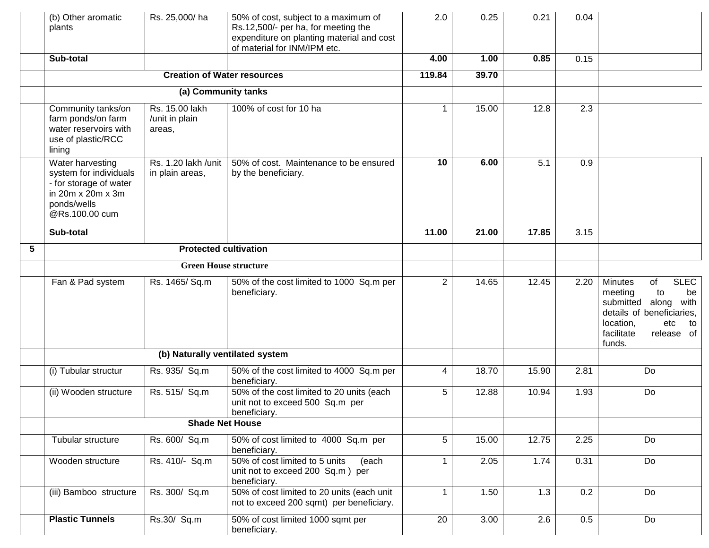|   | (b) Other aromatic<br>plants                                                                                               | Rs. 25,000/ha                              | 50% of cost, subject to a maximum of<br>Rs.12,500/- per ha, for meeting the<br>expenditure on planting material and cost<br>of material for INM/IPM etc. | 2.0            | 0.25  | 0.21  | 0.04 |                                                                                                                                                                                    |
|---|----------------------------------------------------------------------------------------------------------------------------|--------------------------------------------|----------------------------------------------------------------------------------------------------------------------------------------------------------|----------------|-------|-------|------|------------------------------------------------------------------------------------------------------------------------------------------------------------------------------------|
|   | Sub-total                                                                                                                  |                                            |                                                                                                                                                          | 4.00           | 1.00  | 0.85  | 0.15 |                                                                                                                                                                                    |
|   |                                                                                                                            | <b>Creation of Water resources</b>         |                                                                                                                                                          | 119.84         | 39.70 |       |      |                                                                                                                                                                                    |
|   |                                                                                                                            | (a) Community tanks                        |                                                                                                                                                          |                |       |       |      |                                                                                                                                                                                    |
|   | Community tanks/on<br>farm ponds/on farm<br>water reservoirs with<br>use of plastic/RCC<br>lining                          | Rs. 15.00 lakh<br>/unit in plain<br>areas, | 100% of cost for 10 ha                                                                                                                                   | 1              | 15.00 | 12.8  | 2.3  |                                                                                                                                                                                    |
|   | Water harvesting<br>system for individuals<br>- for storage of water<br>in 20m x 20m x 3m<br>ponds/wells<br>@Rs.100.00 cum | Rs. 1.20 lakh /unit<br>in plain areas,     | 50% of cost. Maintenance to be ensured<br>by the beneficiary.                                                                                            | 10             | 6.00  | 5.1   | 0.9  |                                                                                                                                                                                    |
|   | Sub-total                                                                                                                  |                                            |                                                                                                                                                          | 11.00          | 21.00 | 17.85 | 3.15 |                                                                                                                                                                                    |
| 5 |                                                                                                                            | <b>Protected cultivation</b>               |                                                                                                                                                          |                |       |       |      |                                                                                                                                                                                    |
|   |                                                                                                                            | <b>Green House structure</b>               |                                                                                                                                                          |                |       |       |      |                                                                                                                                                                                    |
|   | Fan & Pad system                                                                                                           | Rs. 1465/ Sq.m                             | 50% of the cost limited to 1000 Sq.m per<br>beneficiary.                                                                                                 | $\overline{2}$ | 14.65 | 12.45 | 2.20 | <b>SLEC</b><br><b>Minutes</b><br>of<br>meeting<br>to<br>be<br>submitted<br>along with<br>details of beneficiaries,<br>location,<br>etc<br>to<br>facilitate<br>release of<br>funds. |
|   |                                                                                                                            | (b) Naturally ventilated system            |                                                                                                                                                          |                |       |       |      |                                                                                                                                                                                    |
|   | (i) Tubular structur                                                                                                       | Rs. 935/ Sq.m                              | 50% of the cost limited to 4000 Sq.m per<br>beneficiary.                                                                                                 | 4              | 18.70 | 15.90 | 2.81 | Do                                                                                                                                                                                 |
|   | (ii) Wooden structure                                                                                                      | Rs. 515/ Sq.m                              | 50% of the cost limited to 20 units (each<br>unit not to exceed 500 Sq.m per<br>beneficiary.                                                             | 5              | 12.88 | 10.94 | 1.93 | Do                                                                                                                                                                                 |
|   |                                                                                                                            |                                            | <b>Shade Net House</b>                                                                                                                                   |                |       |       |      |                                                                                                                                                                                    |
|   | Tubular structure                                                                                                          | Rs. 600/ Sq.m                              | 50% of cost limited to 4000 Sq.m per<br>beneficiary.                                                                                                     | 5              | 15.00 | 12.75 | 2.25 | Do                                                                                                                                                                                 |
|   | Wooden structure                                                                                                           | Rs. 410/- Sq.m                             | 50% of cost limited to 5 units<br>(each<br>unit not to exceed 200 Sq.m) per<br>beneficiary.                                                              | $\mathbf{1}$   | 2.05  | 1.74  | 0.31 | Do                                                                                                                                                                                 |
|   | (iii) Bamboo structure                                                                                                     | Rs. 300/ Sq.m                              | 50% of cost limited to 20 units (each unit<br>not to exceed 200 sqmt) per beneficiary.                                                                   | $\mathbf{1}$   | 1.50  | 1.3   | 0.2  | Do                                                                                                                                                                                 |
|   | <b>Plastic Tunnels</b>                                                                                                     | Rs.30/ Sq.m                                | 50% of cost limited 1000 sqmt per<br>beneficiary.                                                                                                        | 20             | 3.00  | 2.6   | 0.5  | Do                                                                                                                                                                                 |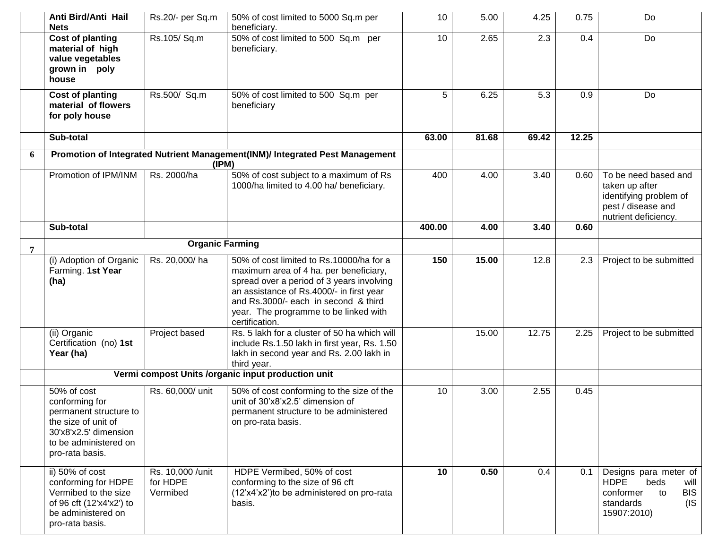|   | Anti Bird/Anti Hail<br><b>Nets</b>                                                                                                                  | Rs.20/- per Sq.m                          | 50% of cost limited to 5000 Sq.m per<br>beneficiary.                                                                                                                                                                                                                           | 10     | 5.00  | 4.25  | 0.75  | Do                                                                                                                          |
|---|-----------------------------------------------------------------------------------------------------------------------------------------------------|-------------------------------------------|--------------------------------------------------------------------------------------------------------------------------------------------------------------------------------------------------------------------------------------------------------------------------------|--------|-------|-------|-------|-----------------------------------------------------------------------------------------------------------------------------|
|   | <b>Cost of planting</b><br>material of high<br>value vegetables<br>grown in poly<br>house                                                           | Rs.105/Sq.m                               | 50% of cost limited to 500 Sq.m per<br>beneficiary.                                                                                                                                                                                                                            | 10     | 2.65  | 2.3   | 0.4   | Do                                                                                                                          |
|   | <b>Cost of planting</b><br>material of flowers<br>for poly house                                                                                    | Rs.500/ Sq.m                              | 50% of cost limited to 500 Sq.m per<br>beneficiary                                                                                                                                                                                                                             | 5      | 6.25  | 5.3   | 0.9   | Do                                                                                                                          |
|   | Sub-total                                                                                                                                           |                                           |                                                                                                                                                                                                                                                                                | 63.00  | 81.68 | 69.42 | 12.25 |                                                                                                                             |
| 6 |                                                                                                                                                     | (IPM)                                     | Promotion of Integrated Nutrient Management(INM)/ Integrated Pest Management                                                                                                                                                                                                   |        |       |       |       |                                                                                                                             |
|   | Promotion of IPM/INM                                                                                                                                | Rs. 2000/ha                               | 50% of cost subject to a maximum of Rs<br>1000/ha limited to 4.00 ha/ beneficiary.                                                                                                                                                                                             | 400    | 4.00  | 3.40  | 0.60  | To be need based and<br>taken up after<br>identifying problem of<br>pest / disease and<br>nutrient deficiency.              |
|   | Sub-total                                                                                                                                           |                                           |                                                                                                                                                                                                                                                                                | 400.00 | 4.00  | 3.40  | 0.60  |                                                                                                                             |
| 7 |                                                                                                                                                     | <b>Organic Farming</b>                    |                                                                                                                                                                                                                                                                                |        |       |       |       |                                                                                                                             |
|   | (i) Adoption of Organic<br>Farming. 1st Year<br>(ha)                                                                                                | Rs. 20,000/ha                             | 50% of cost limited to Rs.10000/ha for a<br>maximum area of 4 ha. per beneficiary,<br>spread over a period of 3 years involving<br>an assistance of Rs.4000/- in first year<br>and Rs.3000/- each in second & third<br>year. The programme to be linked with<br>certification. | 150    | 15.00 | 12.8  | 2.3   | Project to be submitted                                                                                                     |
|   | (ii) Organic<br>Certification (no) 1st<br>Year (ha)                                                                                                 | Project based                             | Rs. 5 lakh for a cluster of 50 ha which will<br>include Rs.1.50 lakh in first year, Rs. 1.50<br>lakh in second year and Rs. 2.00 lakh in<br>third year.                                                                                                                        |        | 15.00 | 12.75 | 2.25  | Project to be submitted                                                                                                     |
|   |                                                                                                                                                     |                                           | Vermi compost Units /organic input production unit                                                                                                                                                                                                                             |        |       |       |       |                                                                                                                             |
|   | 50% of cost<br>conforming for<br>permanent structure to<br>the size of unit of<br>30'x8'x2.5' dimension<br>to be administered on<br>pro-rata basis. | Rs. 60,000/ unit                          | 50% of cost conforming to the size of the<br>unit of 30'x8'x2.5' dimension of<br>permanent structure to be administered<br>on pro-rata basis.                                                                                                                                  | 10     | 3.00  | 2.55  | 0.45  |                                                                                                                             |
|   | ii) 50% of cost<br>conforming for HDPE<br>Vermibed to the size<br>of 96 cft (12'x4'x2') to<br>be administered on<br>pro-rata basis.                 | Rs. 10,000 / unit<br>for HDPE<br>Vermibed | HDPE Vermibed, 50% of cost<br>conforming to the size of 96 cft<br>(12'x4'x2') to be administered on pro-rata<br>basis.                                                                                                                                                         | 10     | 0.50  | 0.4   | 0.1   | Designs para meter of<br><b>HDPE</b><br>beds<br>will<br><b>BIS</b><br>conformer<br>to<br>$($ IS<br>standards<br>15907:2010) |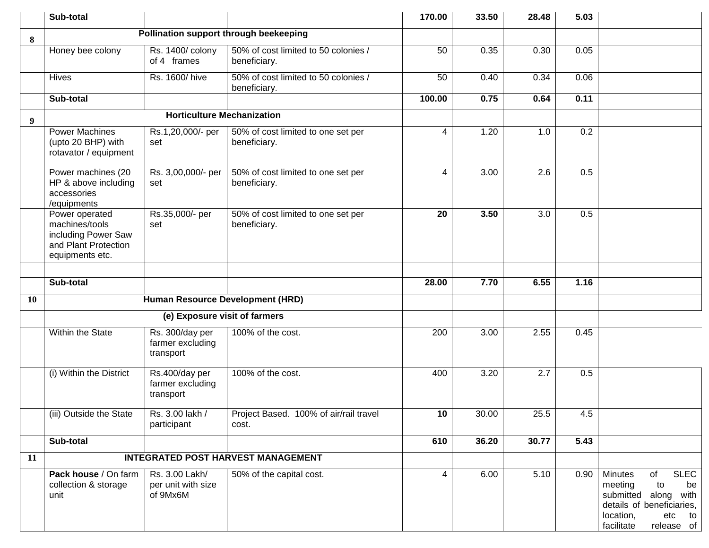|           | Sub-total                                                                                          |                                                  |                                                      | 170.00 | 33.50 | 28.48              | 5.03 |                                                                                                                                                                             |
|-----------|----------------------------------------------------------------------------------------------------|--------------------------------------------------|------------------------------------------------------|--------|-------|--------------------|------|-----------------------------------------------------------------------------------------------------------------------------------------------------------------------------|
| 8         | Pollination support through beekeeping                                                             |                                                  |                                                      |        |       |                    |      |                                                                                                                                                                             |
|           | Honey bee colony                                                                                   | Rs. 1400/ colony<br>of 4 frames                  | 50% of cost limited to 50 colonies /<br>beneficiary. | 50     | 0.35  | 0.30               | 0.05 |                                                                                                                                                                             |
|           | <b>Hives</b>                                                                                       | Rs. 1600/hive                                    | 50% of cost limited to 50 colonies /<br>beneficiary. | 50     | 0.40  | 0.34               | 0.06 |                                                                                                                                                                             |
|           | Sub-total                                                                                          |                                                  |                                                      | 100.00 | 0.75  | 0.64               | 0.11 |                                                                                                                                                                             |
| 9         |                                                                                                    | <b>Horticulture Mechanization</b>                |                                                      |        |       |                    |      |                                                                                                                                                                             |
|           | <b>Power Machines</b><br>(upto 20 BHP) with<br>rotavator / equipment                               | Rs.1,20,000/- per<br>set                         | 50% of cost limited to one set per<br>beneficiary.   | 4      | 1.20  | 1.0                | 0.2  |                                                                                                                                                                             |
|           | Power machines (20<br>HP & above including<br>accessories<br>/equipments                           | Rs. 3,00,000/- per<br>set                        | 50% of cost limited to one set per<br>beneficiary.   | 4      | 3.00  | 2.6                | 0.5  |                                                                                                                                                                             |
|           | Power operated<br>machines/tools<br>including Power Saw<br>and Plant Protection<br>equipments etc. | Rs.35,000/- per<br>set                           | 50% of cost limited to one set per<br>beneficiary.   | 20     | 3.50  | 3.0                | 0.5  |                                                                                                                                                                             |
|           |                                                                                                    |                                                  |                                                      |        |       |                    |      |                                                                                                                                                                             |
|           | Sub-total                                                                                          |                                                  |                                                      | 28.00  | 7.70  | 6.55               | 1.16 |                                                                                                                                                                             |
| <b>10</b> |                                                                                                    | Human Resource Development (HRD)                 |                                                      |        |       |                    |      |                                                                                                                                                                             |
|           |                                                                                                    | (e) Exposure visit of farmers                    |                                                      |        |       |                    |      |                                                                                                                                                                             |
|           | Within the State                                                                                   | Rs. 300/day per<br>farmer excluding<br>transport | 100% of the cost.                                    | 200    | 3.00  | 2.55               | 0.45 |                                                                                                                                                                             |
|           | (i) Within the District                                                                            | Rs.400/day per<br>farmer excluding<br>transport  | 100% of the cost.                                    | 400    | 3.20  | 2.7                | 0.5  |                                                                                                                                                                             |
|           | (iii) Outside the State                                                                            | Rs. 3.00 lakh /<br>participant                   | Project Based. 100% of air/rail travel<br>cost.      | 10     | 30.00 | 25.5               | 4.5  |                                                                                                                                                                             |
|           | Sub-total                                                                                          |                                                  |                                                      | 610    | 36.20 | $\overline{30.77}$ | 5.43 |                                                                                                                                                                             |
| 11        |                                                                                                    |                                                  | <b>INTEGRATED POST HARVEST MANAGEMENT</b>            |        |       |                    |      |                                                                                                                                                                             |
|           | Pack house / On farm<br>collection & storage<br>unit                                               | Rs. 3.00 Lakh/<br>per unit with size<br>of 9Mx6M | 50% of the capital cost.                             | 4      | 6.00  | 5.10               | 0.90 | <b>SLEC</b><br><b>Minutes</b><br>of<br>meeting<br>to<br>be<br>along<br>submitted<br>with<br>details of beneficiaries,<br>location,<br>etc<br>to<br>facilitate<br>release of |